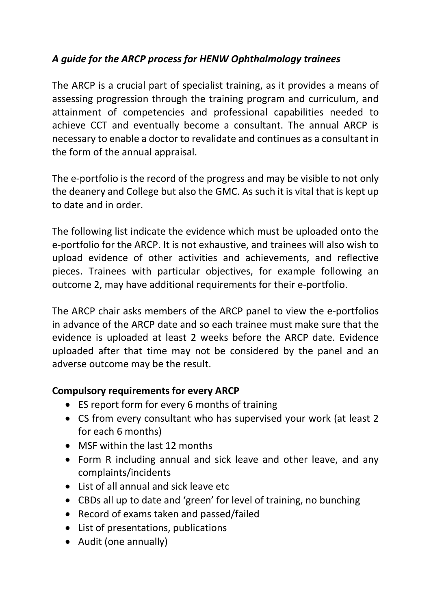# A guide for the ARCP process for HENW Ophthalmology trainees

The ARCP is a crucial part of specialist training, as it provides a means of assessing progression through the training program and curriculum, and attainment of competencies and professional capabilities needed to achieve CCT and eventually become a consultant. The annual ARCP is necessary to enable a doctor to revalidate and continues as a consultant in the form of the annual appraisal.

The e-portfolio is the record of the progress and may be visible to not only the deanery and College but also the GMC. As such it is vital that is kept up to date and in order.

The following list indicate the evidence which must be uploaded onto the e-portfolio for the ARCP. It is not exhaustive, and trainees will also wish to upload evidence of other activities and achievements, and reflective pieces. Trainees with particular objectives, for example following an outcome 2, may have additional requirements for their e-portfolio.

The ARCP chair asks members of the ARCP panel to view the e-portfolios in advance of the ARCP date and so each trainee must make sure that the evidence is uploaded at least 2 weeks before the ARCP date. Evidence uploaded after that time may not be considered by the panel and an adverse outcome may be the result.

## Compulsory requirements for every ARCP

- ES report form for every 6 months of training
- CS from every consultant who has supervised your work (at least 2 for each 6 months)
- MSF within the last 12 months
- Form R including annual and sick leave and other leave, and any complaints/incidents
- List of all annual and sick leave etc
- CBDs all up to date and 'green' for level of training, no bunching
- Record of exams taken and passed/failed
- List of presentations, publications
- Audit (one annually)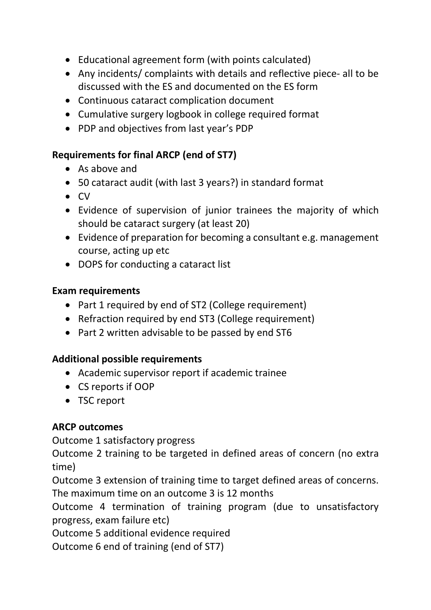- Educational agreement form (with points calculated)
- Any incidents/ complaints with details and reflective piece- all to be discussed with the ES and documented on the ES form
- Continuous cataract complication document
- Cumulative surgery logbook in college required format
- PDP and objectives from last year's PDP

## Requirements for final ARCP (end of ST7)

- As above and
- 50 cataract audit (with last 3 years?) in standard format
- $\bullet$  CV
- Evidence of supervision of junior trainees the majority of which should be cataract surgery (at least 20)
- Evidence of preparation for becoming a consultant e.g. management course, acting up etc
- DOPS for conducting a cataract list

#### Exam requirements

- Part 1 required by end of ST2 (College requirement)
- Refraction required by end ST3 (College requirement)
- Part 2 written advisable to be passed by end ST6

## Additional possible requirements

- Academic supervisor report if academic trainee
- CS reports if OOP
- TSC report

## ARCP outcomes

Outcome 1 satisfactory progress

Outcome 2 training to be targeted in defined areas of concern (no extra time)

Outcome 3 extension of training time to target defined areas of concerns. The maximum time on an outcome 3 is 12 months

Outcome 4 termination of training program (due to unsatisfactory progress, exam failure etc)

Outcome 5 additional evidence required

Outcome 6 end of training (end of ST7)